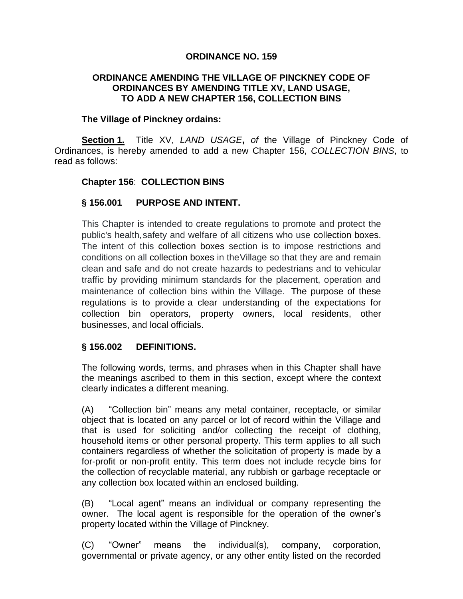### **ORDINANCE NO. 159**

### **ORDINANCE AMENDING THE VILLAGE OF PINCKNEY CODE OF ORDINANCES BY AMENDING TITLE XV, LAND USAGE, TO ADD A NEW CHAPTER 156, COLLECTION BINS**

#### **The Village of Pinckney ordains:**

**Section 1.** Title XV, *LAND USAGE***,** *of* the Village of Pinckney Code of Ordinances, is hereby amended to add a new Chapter 156, *COLLECTION BINS*, to read as follows:

### **Chapter 156**: **COLLECTION BINS**

### **§ 156.001 PURPOSE AND INTENT.**

This Chapter is intended to create regulations to promote and protect the public's health,safety and welfare of all citizens who use collection boxes. The intent of this collection boxes section is to impose restrictions and conditions on all collection boxes in theVillage so that they are and remain clean and safe and do not create hazards to pedestrians and to vehicular traffic by providing minimum standards for the placement, operation and maintenance of collection bins within the Village. The purpose of these regulations is to provide a clear understanding of the expectations for collection bin operators, property owners, local residents, other businesses, and local officials.

#### **§ 156.002 DEFINITIONS.**

The following words, terms, and phrases when in this Chapter shall have the meanings ascribed to them in this section, except where the context clearly indicates a different meaning.

(A) "Collection bin" means any metal container, receptacle, or similar object that is located on any parcel or lot of record within the Village and that is used for soliciting and/or collecting the receipt of clothing, household items or other personal property. This term applies to all such containers regardless of whether the solicitation of property is made by a for-profit or non-profit entity. This term does not include recycle bins for the collection of recyclable material, any rubbish or garbage receptacle or any collection box located within an enclosed building.

(B) "Local agent" means an individual or company representing the owner. The local agent is responsible for the operation of the owner's property located within the Village of Pinckney.

(C) "Owner" means the individual(s), company, corporation, governmental or private agency, or any other entity listed on the recorded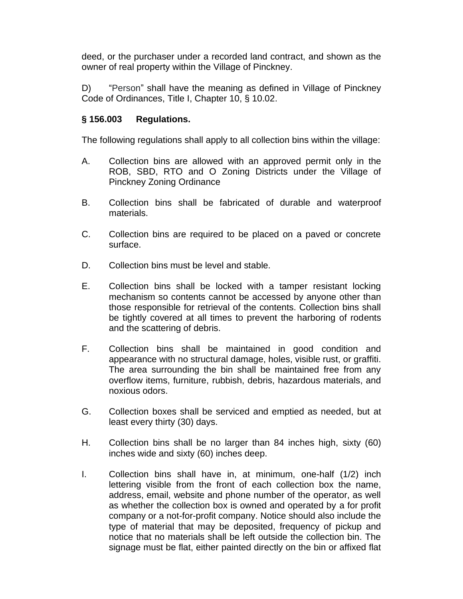deed, or the purchaser under a recorded land contract, and shown as the owner of real property within the Village of Pinckney.

D) "Person" shall have the meaning as defined in Village of Pinckney Code of Ordinances, Title I, Chapter 10, § 10.02.

# **§ 156.003 Regulations.**

The following regulations shall apply to all collection bins within the village:

- A. Collection bins are allowed with an approved permit only in the ROB, SBD, RTO and O Zoning Districts under the Village of Pinckney Zoning Ordinance
- B. Collection bins shall be fabricated of durable and waterproof materials.
- C. Collection bins are required to be placed on a paved or concrete surface.
- D. Collection bins must be level and stable.
- E. Collection bins shall be locked with a tamper resistant locking mechanism so contents cannot be accessed by anyone other than those responsible for retrieval of the contents. Collection bins shall be tightly covered at all times to prevent the harboring of rodents and the scattering of debris.
- F. Collection bins shall be maintained in good condition and appearance with no structural damage, holes, visible rust, or graffiti. The area surrounding the bin shall be maintained free from any overflow items, furniture, rubbish, debris, hazardous materials, and noxious odors.
- G. Collection boxes shall be serviced and emptied as needed, but at least every thirty (30) days.
- H. Collection bins shall be no larger than 84 inches high, sixty (60) inches wide and sixty (60) inches deep.
- I. Collection bins shall have in, at minimum, one-half (1/2) inch lettering visible from the front of each collection box the name, address, email, website and phone number of the operator, as well as whether the collection box is owned and operated by a for profit company or a not-for-profit company. Notice should also include the type of material that may be deposited, frequency of pickup and notice that no materials shall be left outside the collection bin. The signage must be flat, either painted directly on the bin or affixed flat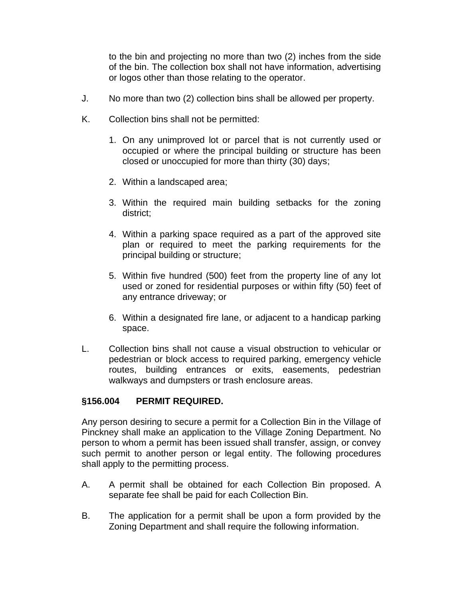to the bin and projecting no more than two (2) inches from the side of the bin. The collection box shall not have information, advertising or logos other than those relating to the operator.

- J. No more than two (2) collection bins shall be allowed per property.
- K. Collection bins shall not be permitted:
	- 1. On any unimproved lot or parcel that is not currently used or occupied or where the principal building or structure has been closed or unoccupied for more than thirty (30) days;
	- 2. Within a landscaped area;
	- 3. Within the required main building setbacks for the zoning district;
	- 4. Within a parking space required as a part of the approved site plan or required to meet the parking requirements for the principal building or structure;
	- 5. Within five hundred (500) feet from the property line of any lot used or zoned for residential purposes or within fifty (50) feet of any entrance driveway; or
	- 6. Within a designated fire lane, or adjacent to a handicap parking space.
- L. Collection bins shall not cause a visual obstruction to vehicular or pedestrian or block access to required parking, emergency vehicle routes, building entrances or exits, easements, pedestrian walkways and dumpsters or trash enclosure areas.

## **§156.004 PERMIT REQUIRED.**

Any person desiring to secure a permit for a Collection Bin in the Village of Pinckney shall make an application to the Village Zoning Department. No person to whom a permit has been issued shall transfer, assign, or convey such permit to another person or legal entity. The following procedures shall apply to the permitting process.

- A. A permit shall be obtained for each Collection Bin proposed. A separate fee shall be paid for each Collection Bin.
- B. The application for a permit shall be upon a form provided by the Zoning Department and shall require the following information.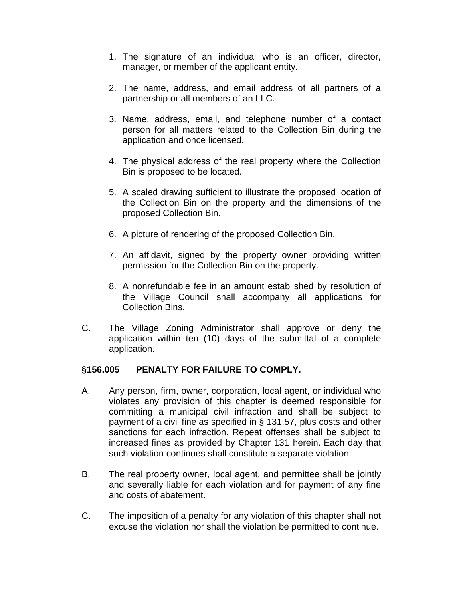- 1. The signature of an individual who is an officer, director, manager, or member of the applicant entity.
- 2. The name, address, and email address of all partners of a partnership or all members of an LLC.
- 3. Name, address, email, and telephone number of a contact person for all matters related to the Collection Bin during the application and once licensed.
- 4. The physical address of the real property where the Collection Bin is proposed to be located.
- 5. A scaled drawing sufficient to illustrate the proposed location of the Collection Bin on the property and the dimensions of the proposed Collection Bin.
- 6. A picture of rendering of the proposed Collection Bin.
- 7. An affidavit, signed by the property owner providing written permission for the Collection Bin on the property.
- 8. A nonrefundable fee in an amount established by resolution of the Village Council shall accompany all applications for Collection Bins.
- C. The Village Zoning Administrator shall approve or deny the application within ten (10) days of the submittal of a complete application.

# **§156.005 PENALTY FOR FAILURE TO COMPLY.**

- A. Any person, firm, owner, corporation, local agent, or individual who violates any provision of this chapter is deemed responsible for committing a municipal civil infraction and shall be subject to payment of a civil fine as specified in § 131.57, plus costs and other sanctions for each infraction. Repeat offenses shall be subject to increased fines as provided by Chapter 131 herein. Each day that such violation continues shall constitute a separate violation.
- B. The real property owner, local agent, and permittee shall be jointly and severally liable for each violation and for payment of any fine and costs of abatement.
- C. The imposition of a penalty for any violation of this chapter shall not excuse the violation nor shall the violation be permitted to continue.